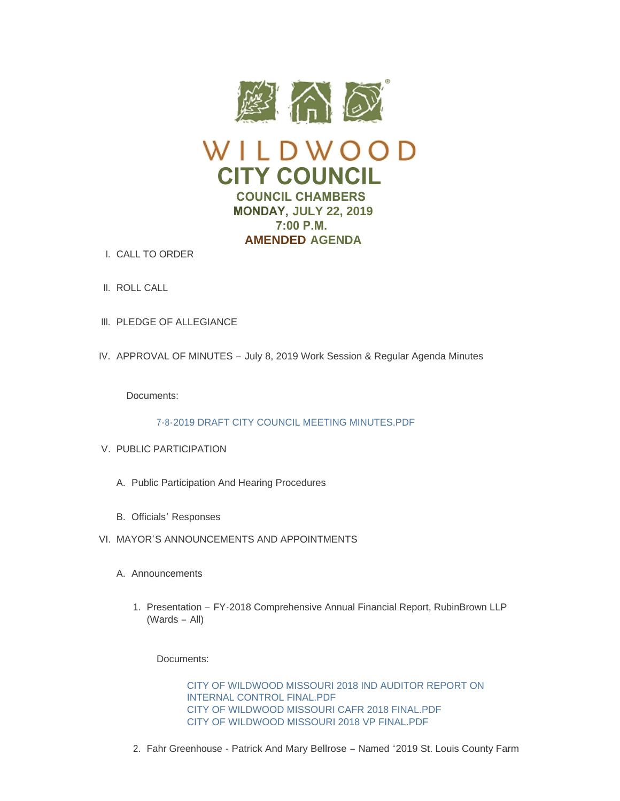



- CALL TO ORDER I.
- II. ROLL CALL
- III. PLEDGE OF ALLEGIANCE
- IV. APPROVAL OF MINUTES July 8, 2019 Work Session & Regular Agenda Minutes

Documents:

[7-8-2019 DRAFT CITY COUNCIL MEETING MINUTES.PDF](https://www.cityofwildwood.com/AgendaCenter/ViewFile/Item/21214?fileID=26838)

- V. PUBLIC PARTICIPATION
	- A. Public Participation And Hearing Procedures
	- B. Officials' Responses
- VI. MAYOR'S ANNOUNCEMENTS AND APPOINTMENTS
	- A. Announcements
		- 1. Presentation FY-2018 Comprehensive Annual Financial Report, RubinBrown LLP (Wards – All)

Documents:

[CITY OF WILDWOOD MISSOURI 2018 IND AUDITOR REPORT ON](https://www.cityofwildwood.com/AgendaCenter/ViewFile/Item/21220?fileID=26813)  INTERNAL CONTROL FINAL.PDF [CITY OF WILDWOOD MISSOURI CAFR 2018 FINAL.PDF](https://www.cityofwildwood.com/AgendaCenter/ViewFile/Item/21220?fileID=26812) [CITY OF WILDWOOD MISSOURI 2018 VP FINAL.PDF](https://www.cityofwildwood.com/AgendaCenter/ViewFile/Item/21220?fileID=26811)

2. Fahr Greenhouse - Patrick And Mary Bellrose - Named "2019 St. Louis County Farm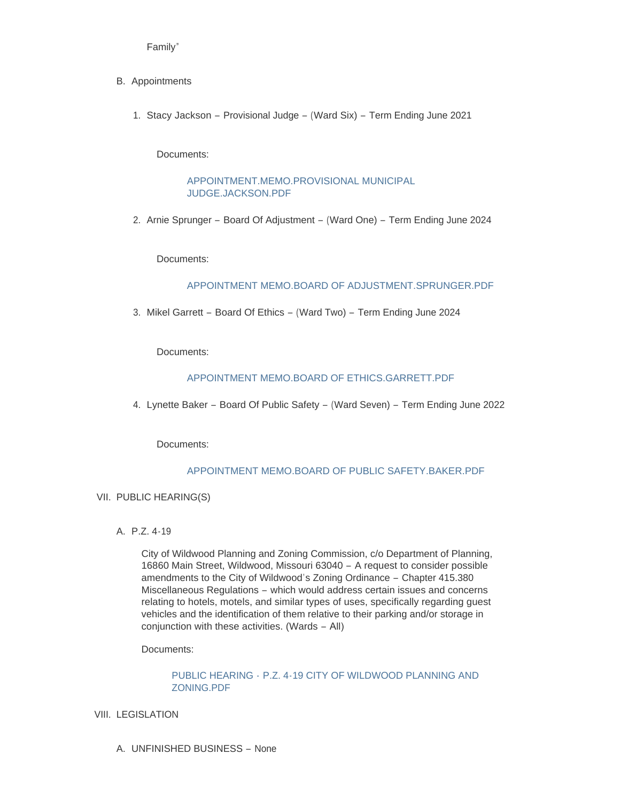Family"

- B. Appointments
	- 1. Stacy Jackson Provisional Judge (Ward Six) Term Ending June 2021

Documents:

[APPOINTMENT.MEMO.PROVISIONAL MUNICIPAL](https://www.cityofwildwood.com/AgendaCenter/ViewFile/Item/21223?fileID=26824)  JUDGE.JACKSON.PDF

2. Arnie Sprunger – Board Of Adjustment – (Ward One) – Term Ending June 2024

Documents:

### [APPOINTMENT MEMO.BOARD OF ADJUSTMENT.SPRUNGER.PDF](https://www.cityofwildwood.com/AgendaCenter/ViewFile/Item/21224?fileID=26814)

3. Mikel Garrett - Board Of Ethics - (Ward Two) - Term Ending June 2024

Documents:

## [APPOINTMENT MEMO.BOARD OF ETHICS.GARRETT.PDF](https://www.cityofwildwood.com/AgendaCenter/ViewFile/Item/21225?fileID=26825)

4. Lynette Baker – Board Of Public Safety – (Ward Seven) – Term Ending June 2022

Documents:

### APPOINTMENT MEMO BOARD OF PUBLIC SAFETY BAKER PDF

### VII. PUBLIC HEARING(S)

P.Z. 4-19 A.

City of Wildwood Planning and Zoning Commission, c/o Department of Planning, 16860 Main Street, Wildwood, Missouri 63040 – A request to consider possible amendments to the City of Wildwood's Zoning Ordinance – Chapter 415.380 Miscellaneous Regulations – which would address certain issues and concerns relating to hotels, motels, and similar types of uses, specifically regarding guest vehicles and the identification of them relative to their parking and/or storage in conjunction with these activities. (Wards – All)

Documents:

# PUBLIC HEARING - [P.Z. 4-19 CITY OF WILDWOOD PLANNING AND](https://www.cityofwildwood.com/AgendaCenter/ViewFile/Item/21228?fileID=26800)  ZONING.PDF

- VIII. LEGISLATION
	- UNFINISHED BUSINESS None A.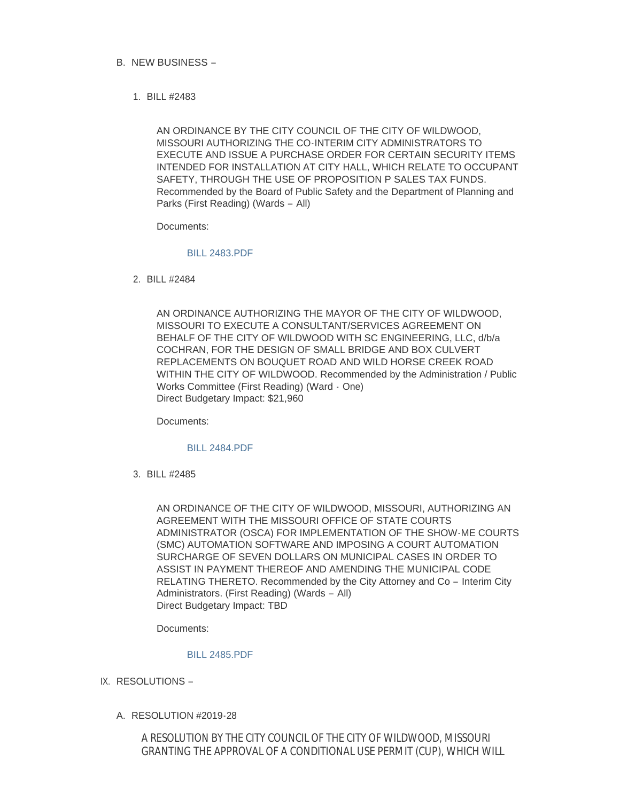- B. NEW BUSINESS
	- BILL #2483 1.

AN ORDINANCE BY THE CITY COUNCIL OF THE CITY OF WILDWOOD, MISSOURI AUTHORIZING THE CO-INTERIM CITY ADMINISTRATORS TO EXECUTE AND ISSUE A PURCHASE ORDER FOR CERTAIN SECURITY ITEMS INTENDED FOR INSTALLATION AT CITY HALL, WHICH RELATE TO OCCUPANT SAFETY, THROUGH THE USE OF PROPOSITION P SALES TAX FUNDS. Recommended by the Board of Public Safety and the Department of Planning and Parks (First Reading) (Wards – All)

Documents:

### [BILL 2483.PDF](https://www.cityofwildwood.com/AgendaCenter/ViewFile/Item/21232?fileID=26826)

BILL #2484 2.

AN ORDINANCE AUTHORIZING THE MAYOR OF THE CITY OF WILDWOOD, MISSOURI TO EXECUTE A CONSULTANT/SERVICES AGREEMENT ON BEHALF OF THE CITY OF WILDWOOD WITH SC ENGINEERING, LLC, d/b/a COCHRAN, FOR THE DESIGN OF SMALL BRIDGE AND BOX CULVERT REPLACEMENTS ON BOUQUET ROAD AND WILD HORSE CREEK ROAD WITHIN THE CITY OF WILDWOOD. Recommended by the Administration / Public Works Committee (First Reading) (Ward - One) Direct Budgetary Impact: \$21,960

Documents:

### [BILL 2484.PDF](https://www.cityofwildwood.com/AgendaCenter/ViewFile/Item/21288?fileID=26836)

BILL #2485 3.

AN ORDINANCE OF THE CITY OF WILDWOOD, MISSOURI, AUTHORIZING AN AGREEMENT WITH THE MISSOURI OFFICE OF STATE COURTS ADMINISTRATOR (OSCA) FOR IMPLEMENTATION OF THE SHOW-ME COURTS (SMC) AUTOMATION SOFTWARE AND IMPOSING A COURT AUTOMATION SURCHARGE OF SEVEN DOLLARS ON MUNICIPAL CASES IN ORDER TO ASSIST IN PAYMENT THEREOF AND AMENDING THE MUNICIPAL CODE RELATING THERETO. Recommended by the City Attorney and Co – Interim City Administrators. (First Reading) (Wards – All) Direct Budgetary Impact: TBD

Documents:

#### [BILL 2485.PDF](https://www.cityofwildwood.com/AgendaCenter/ViewFile/Item/21289?fileID=26832)

- IX. RESOLUTIONS
	- RESOLUTION #2019-28 A.

A RESOLUTION BY THE CITY COUNCIL OF THE CITY OF WILDWOOD, MISSOURI GRANTING THE APPROVAL OF A CONDITIONAL USE PERMIT (CUP), WHICH WILL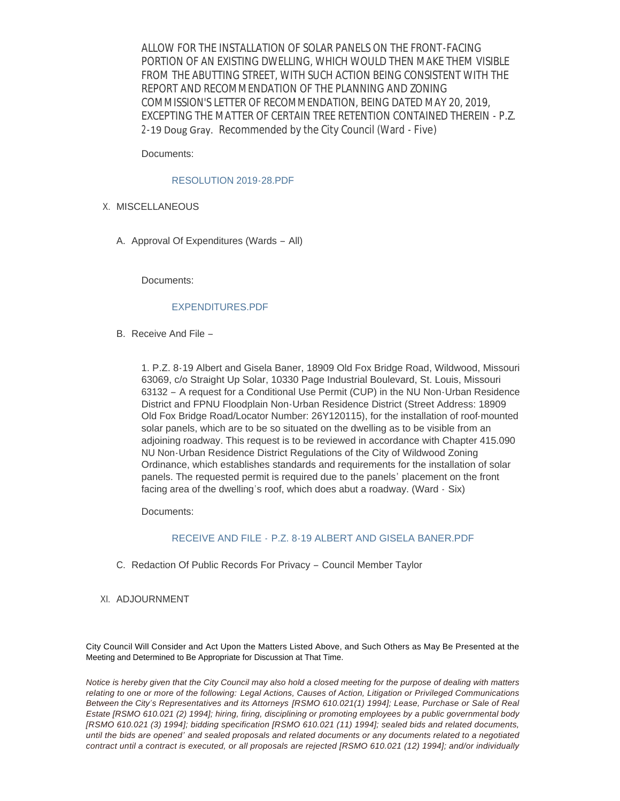ALLOW FOR THE INSTALLATION OF SOLAR PANELS ON THE FRONT-FACING PORTION OF AN EXISTING DWELLING, WHICH WOULD THEN MAKE THEM VISIBLE FROM THE ABUTTING STREET, WITH SUCH ACTION BEING CONSISTENT WITH THE REPORT AND RECOMMENDATION OF THE PLANNING AND ZONING COMMISSION'S LETTER OF RECOMMENDATION, BEING DATED MAY 20, 2019, EXCEPTING THE MATTER OF CERTAIN TREE RETENTION CONTAINED THEREIN - P.Z. 2-19 Doug Gray. *Recommended by the City Council* (Ward - Five)

Documents:

#### [RESOLUTION 2019-28.PDF](https://www.cityofwildwood.com/AgendaCenter/ViewFile/Item/21292?fileID=26840)

- X. MISCELLANEOUS
	- A. Approval Of Expenditures (Wards All)

Documents:

#### [EXPENDITURES.PDF](https://www.cityofwildwood.com/AgendaCenter/ViewFile/Item/21238?fileID=26816)

B. Receive And File -

1. P.Z. 8-19 Albert and Gisela Baner, 18909 Old Fox Bridge Road, Wildwood, Missouri 63069, c/o Straight Up Solar, 10330 Page Industrial Boulevard, St. Louis, Missouri 63132 – A request for a Conditional Use Permit (CUP) in the NU Non-Urban Residence District and FPNU Floodplain Non-Urban Residence District (Street Address: 18909 Old Fox Bridge Road/Locator Number: 26Y120115), for the installation of roof-mounted solar panels, which are to be so situated on the dwelling as to be visible from an adjoining roadway. This request is to be reviewed in accordance with Chapter 415.090 NU Non-Urban Residence District Regulations of the City of Wildwood Zoning Ordinance, which establishes standards and requirements for the installation of solar panels. The requested permit is required due to the panels' placement on the front facing area of the dwelling's roof, which does abut a roadway. (Ward - Six)

Documents:

### RECEIVE AND FILE - [P.Z. 8-19 ALBERT AND GISELA BANER.PDF](https://www.cityofwildwood.com/AgendaCenter/ViewFile/Item/21239?fileID=26801)

- C. Redaction Of Public Records For Privacy Council Member Taylor
- XI. ADJOURNMENT

City Council Will Consider and Act Upon the Matters Listed Above, and Such Others as May Be Presented at the Meeting and Determined to Be Appropriate for Discussion at That Time.

*Notice is hereby given that the City Council may also hold a closed meeting for the purpose of dealing with matters relating to one or more of the following: Legal Actions, Causes of Action, Litigation or Privileged Communications Between the City's Representatives and its Attorneys [RSMO 610.021(1) 1994]; Lease, Purchase or Sale of Real Estate [RSMO 610.021 (2) 1994]; hiring, firing, disciplining or promoting employees by a public governmental body [RSMO 610.021 (3) 1994]; bidding specification [RSMO 610.021 (11) 1994]; sealed bids and related documents, until the bids are opened' and sealed proposals and related documents or any documents related to a negotiated contract until a contract is executed, or all proposals are rejected [RSMO 610.021 (12) 1994]; and/or individually*